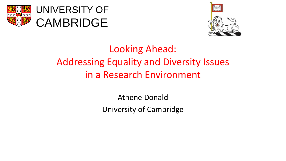





# Looking Ahead: Addressing Equality and Diversity Issues in a Research Environment

Athene Donald University of Cambridge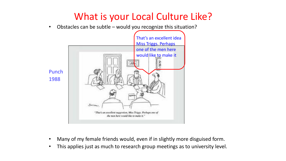# What is your Local Culture Like?

• Obstacles can be subtle – would you recognize this situation?



- Many of my female friends would, even if in slightly more disguised form.
- This applies just as much to research group meetings as to university level.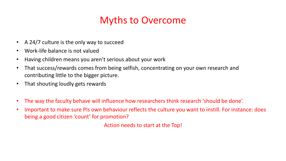# Myths to Overcome

- A 24/7 culture is the only way to succeed
- Work-life balance is not valued
- Having children means you aren't serious about your work
- That success/rewards comes from being selfish, concentrating on your own research and contributing little to the bigger picture.
- That shouting loudly gets rewards
- The way the faculty behave will influence how researchers think research 'should be done'.
- Important to make sure PIs own behaviour reflects the culture you want to instill. For instance: does being a good citizen 'count' for promotion?

Action needs to start at the Top!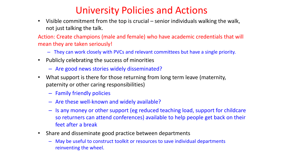# University Policies and Actions

• Visible commitment from the top is crucial – senior individuals walking the walk, not just talking the talk.

Action: Create champions (male and female) who have academic credentials that will mean they are taken seriously!

- They can work closely with PVCs and relevant committees but have a single priority.
- Publicly celebrating the success of minorities
	- Are good news stories widely disseminated?
- What support is there for those returning from long term leave (maternity, paternity or other caring responsibilities)
	- Family friendly policies
	- Are these well-known and widely available?
	- Is any money or other support (eg reduced teaching load, support for childcare so returners can attend conferences) available to help people get back on their feet after a break
- Share and disseminate good practice between departments
	- May be useful to construct toolkit or resources to save individual departments reinventing the wheel.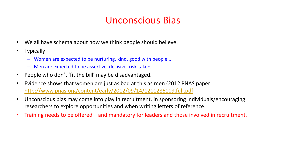# Unconscious Bias

- We all have schema about how we think people should believe:
- Typically
	- Women are expected to be nurturing, kind, good with people…
	- Men are expected to be assertive, decisive, risk-takers…..
- People who don't 'fit the bill' may be disadvantaged.
- Evidence shows that women are just as bad at this as men (2012 PNAS paper <http://www.pnas.org/content/early/2012/09/14/1211286109.full.pdf>
- Unconscious bias may come into play in recruitment, in sponsoring individuals/encouraging researchers to explore opportunities and when writing letters of reference.
- Training needs to be offered and mandatory for leaders and those involved in recruitment.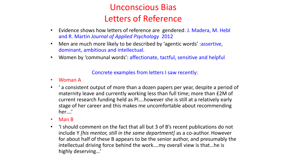### Unconscious Bias Letters of Reference

- Evidence shows how letters of reference are gendered: J. Madera, M. Hebl and R. Martin *Journal of Applied Psychology* 2012
- Men are much more likely to be described by 'agentic words' :assertive, dominant, ambitious and intellectual.
- Women by 'communal words': affectionate, tactful, sensitive and helpful

#### Concrete examples from letters I saw recently:

- Woman A
- ' a consistent output of more than a dozen papers per year, despite a period of maternity leave and currently working less than full time; more than £2M of current research funding held as PI….however she is still at a relatively early stage of her career and this makes me uncomfortable about recommending her….'
- Man B
- 'I should comment on the fact that all but 3 of B's recent publications do not include Y *[his mentor, still in the same department]* as a co-author. However for about half of these B appears to be the senior author, and presumably the intellectual driving force behind the work….my overall view is that…he is highly deserving…'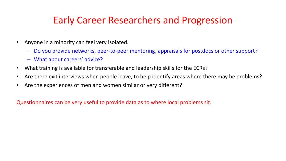# Early Career Researchers and Progression

- Anyone in a minority can feel very isolated.
	- Do you provide networks, peer-to-peer mentoring, appraisals for postdocs or other support?
	- What about careers' advice?
- What training is available for transferable and leadership skills for the ECRs?
- Are there exit interviews when people leave, to help identify areas where there may be problems?
- Are the experiences of men and women similar or very different?

Questionnaires can be very useful to provide data as to where local problems sit.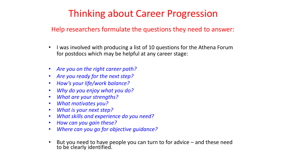# Thinking about Career Progression

#### Help researchers formulate the questions they need to answer:

- I was involved with producing a list of 10 questions for the Athena Forum for postdocs which may be helpful at any career stage:
- *Are you on the right career path?*
- *Are you ready for the next step?*
- *How's your life/work balance?*
- *Why do you enjoy what you do?*
- *What are your strengths?*
- *What motivates you?*
- *What is your next step?*
- *What skills and experience do you need?*
- *How can you gain these?*
- *Where can you go for objective guidance?*
- But you need to have people you can turn to for advice  $-$  and these need to be clearly identified.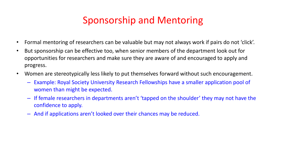# Sponsorship and Mentoring

- Formal mentoring of researchers can be valuable but may not always work if pairs do not 'click'.
- But sponsorship can be effective too, when senior members of the department look out for opportunities for researchers and make sure they are aware of and encouraged to apply and progress.
- Women are stereotypically less likely to put themselves forward without such encouragement.
	- Example: Royal Society University Research Fellowships have a smaller application pool of women than might be expected.
	- If female researchers in departments aren't 'tapped on the shoulder' they may not have the confidence to apply.
	- And if applications aren't looked over their chances may be reduced.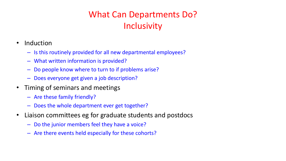## What Can Departments Do? **Inclusivity**

- Induction
	- Is this routinely provided for all new departmental employees?
	- What written information is provided?
	- Do people know where to turn to if problems arise?
	- Does everyone get given a job description?
- Timing of seminars and meetings
	- Are these family friendly?
	- Does the whole department ever get together?
- Liaison committees eg for graduate students and postdocs
	- Do the junior members feel they have a voice?
	- Are there events held especially for these cohorts?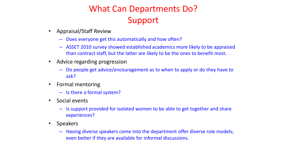# What Can Departments Do? Support

- Appraisal/Staff Review
	- Does everyone get this automatically and how often?
	- ASSET 2010 survey showed established academics more likely to be appraised than contract staff, but the latter are likely to be the ones to benefit most.
- Advice regarding progression
	- Do people get advice/encouragement as to when to apply or do they have to ask?
- Formal mentoring
	- Is there a formal system?
- Social events
	- Is support provided for isolated women to be able to get together and share experiences?
- Speakers
	- Having diverse speakers come into the department offer diverse role models; even better if they are available for informal discussions.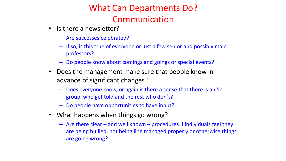# What Can Departments Do? Communication

- Is there a newsletter?
	- Are successes celebrated?
	- If so, is this true of everyone or just a few senior and possibly male professors?
	- Do people know about comings and goings or special events?
- Does the management make sure that people know in advance of significant changes?
	- Does everyone know, or again is there a sense that there is an 'ingroup' who get told and the rest who don't?
	- Do people have opportunities to have input?
- What happens when things go wrong?
	- Are there clear and well known procedures if individuals feel they are being bullied, not being line managed properly or otherwise things are going wrong?